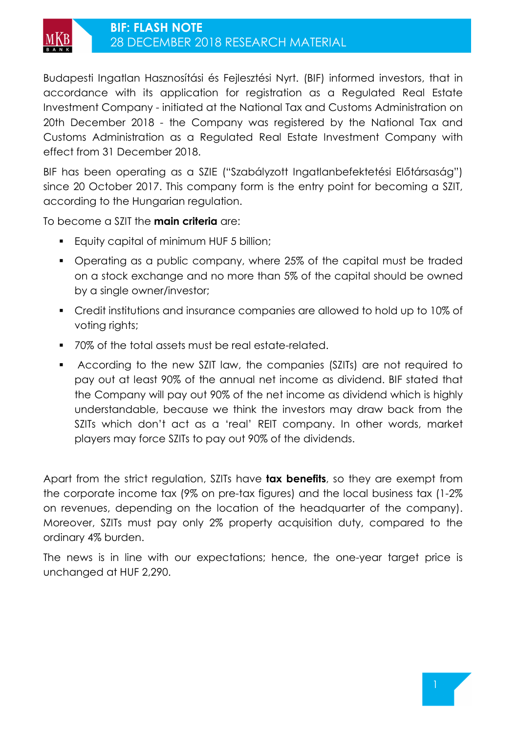

Budapesti Ingatlan Hasznosítási és Fejlesztési Nyrt. (BIF) informed investors, that in accordance with its application for registration as a Regulated Real Estate Investment Company - initiated at the National Tax and Customs Administration on 20th December 2018 - the Company was registered by the National Tax and Customs Administration as a Regulated Real Estate Investment Company with effect from 31 December 2018.

BIF has been operating as a SZIE ("Szabályzott Ingatlanbefektetési Előtársaság") since 20 October 2017. This company form is the entry point for becoming a SZIT, according to the Hungarian regulation.

To become a SZIT the **main criteria** are:

- **Equity capital of minimum HUF 5 billion;**
- Operating as a public company, where 25% of the capital must be traded on a stock exchange and no more than 5% of the capital should be owned by a single owner/investor;
- Credit institutions and insurance companies are allowed to hold up to 10% of voting rights;
- 70% of the total assets must be real estate-related.
- According to the new SZIT law, the companies (SZITs) are not required to pay out at least 90% of the annual net income as dividend. BIF stated that the Company will pay out 90% of the net income as dividend which is highly understandable, because we think the investors may draw back from the SZITs which don't act as a 'real' REIT company. In other words, market players may force SZITs to pay out 90% of the dividends.

Apart from the strict regulation, SZITs have **tax benefits**, so they are exempt from the corporate income tax (9% on pre-tax figures) and the local business tax (1-2% on revenues, depending on the location of the headquarter of the company). Moreover, SZITs must pay only 2% property acquisition duty, compared to the ordinary 4% burden.

The news is in line with our expectations; hence, the one-year target price is unchanged at HUF 2,290.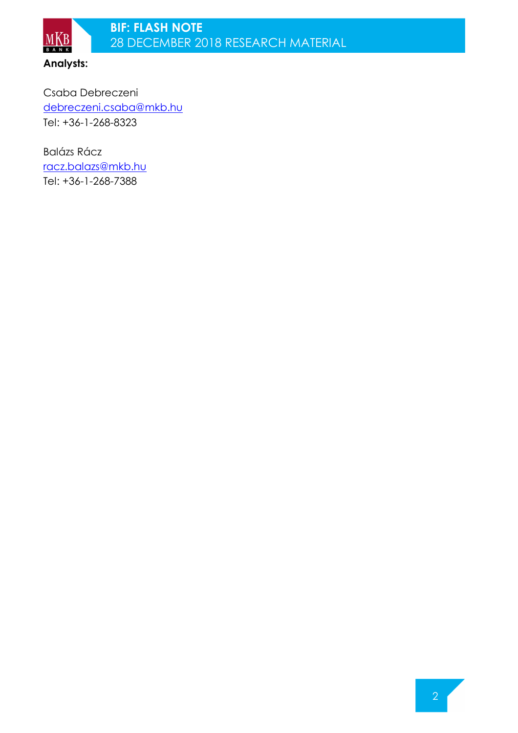

 $M_{B A N K}$ 

Csaba Debreczeni debreczeni.csaba@mkb.hu Tel: +36-1-268-8323

Balázs Rácz racz.balazs@mkb.hu Tel: +36-1-268-7388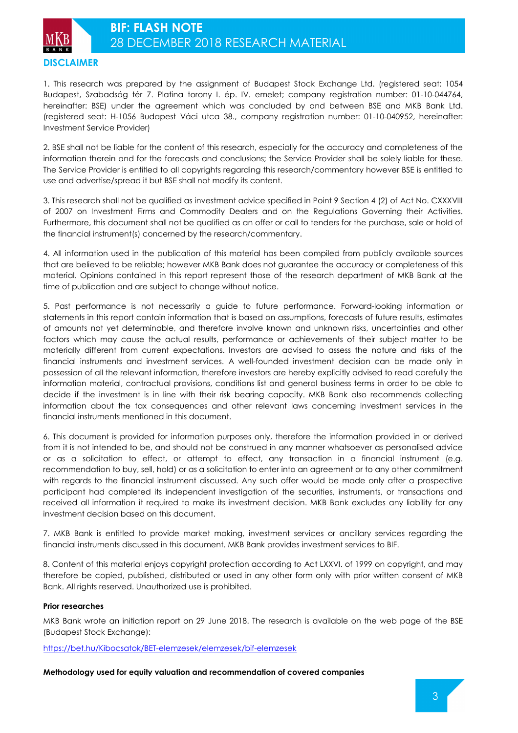

1. This research was prepared by the assignment of Budapest Stock Exchange Ltd. (registered seat: 1054 Budapest, Szabadság tér 7. Platina torony I. ép. IV. emelet; company registration number: 01-10-044764, hereinafter: BSE) under the agreement which was concluded by and between BSE and MKB Bank Ltd. (registered seat: H-1056 Budapest Váci utca 38., company registration number: 01-10-040952, hereinafter: Investment Service Provider)

2. BSE shall not be liable for the content of this research, especially for the accuracy and completeness of the information therein and for the forecasts and conclusions; the Service Provider shall be solely liable for these. The Service Provider is entitled to all copyrights regarding this research/commentary however BSE is entitled to use and advertise/spread it but BSE shall not modify its content.

3. This research shall not be qualified as investment advice specified in Point 9 Section 4 (2) of Act No. CXXXVIII of 2007 on Investment Firms and Commodity Dealers and on the Regulations Governing their Activities. Furthermore, this document shall not be qualified as an offer or call to tenders for the purchase, sale or hold of the financial instrument(s) concerned by the research/commentary.

4. All information used in the publication of this material has been compiled from publicly available sources that are believed to be reliable; however MKB Bank does not guarantee the accuracy or completeness of this material. Opinions contained in this report represent those of the research department of MKB Bank at the time of publication and are subject to change without notice.

5. Past performance is not necessarily a guide to future performance. Forward-looking information or statements in this report contain information that is based on assumptions, forecasts of future results, estimates of amounts not yet determinable, and therefore involve known and unknown risks, uncertainties and other factors which may cause the actual results, performance or achievements of their subject matter to be materially different from current expectations. Investors are advised to assess the nature and risks of the financial instruments and investment services. A well-founded investment decision can be made only in possession of all the relevant information, therefore investors are hereby explicitly advised to read carefully the information material, contractual provisions, conditions list and general business terms in order to be able to decide if the investment is in line with their risk bearing capacity. MKB Bank also recommends collecting information about the tax consequences and other relevant laws concerning investment services in the financial instruments mentioned in this document.

6. This document is provided for information purposes only, therefore the information provided in or derived from it is not intended to be, and should not be construed in any manner whatsoever as personalised advice or as a solicitation to effect, or attempt to effect, any transaction in a financial instrument (e.g. recommendation to buy, sell, hold) or as a solicitation to enter into an agreement or to any other commitment with regards to the financial instrument discussed. Any such offer would be made only after a prospective participant had completed its independent investigation of the securities, instruments, or transactions and received all information it required to make its investment decision. MKB Bank excludes any liability for any investment decision based on this document.

7. MKB Bank is entitled to provide market making, investment services or ancillary services regarding the financial instruments discussed in this document. MKB Bank provides investment services to BIF.

8. Content of this material enjoys copyright protection according to Act LXXVI. of 1999 on copyright, and may therefore be copied, published, distributed or used in any other form only with prior written consent of MKB Bank. All rights reserved. Unauthorized use is prohibited.

## **Prior researches**

MKB Bank wrote an initiation report on 29 June 2018. The research is available on the web page of the BSE (Budapest Stock Exchange):

https://bet.hu/Kibocsatok/BET-elemzesek/elemzesek/bif-elemzesek

**Methodology used for equity valuation and recommendation of covered companies**